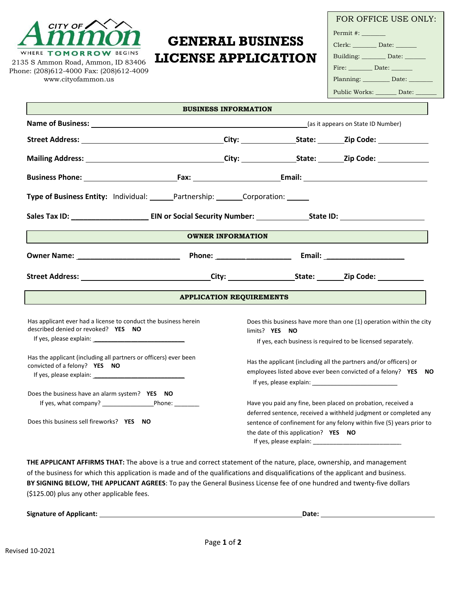

2135 S Ammon Road, Ammon, ID 83406 Phone: (208)612-4000 Fax: (208)612-4009 [www.cityofammon.us](http://www.cityofammon.us/)

## **GENERAL BUSINESS LICENSE APPLICATION**

| FOR OFFICE USE ONLY:               |
|------------------------------------|
| Permit #: _______                  |
| Clerk: _________ Date: ______      |
| Building: _________ Date: ______   |
| Fire: __________ Date: ________    |
| Planning: __________ Date: _______ |
| Public Works: _______ Date: ______ |

|                                                                                                        | <b>BUSINESS INFORMATION</b> |                                 |                                      |                                                                       |
|--------------------------------------------------------------------------------------------------------|-----------------------------|---------------------------------|--------------------------------------|-----------------------------------------------------------------------|
| <b>Name of Business:</b> (as it appears on State ID Number)                                            |                             |                                 |                                      |                                                                       |
|                                                                                                        |                             |                                 |                                      |                                                                       |
|                                                                                                        |                             |                                 |                                      |                                                                       |
|                                                                                                        |                             |                                 |                                      |                                                                       |
| Type of Business Entity: Individual: Partnership: Corporation: Corporation:                            |                             |                                 |                                      |                                                                       |
|                                                                                                        |                             |                                 |                                      |                                                                       |
|                                                                                                        | <b>OWNER INFORMATION</b>    |                                 |                                      |                                                                       |
|                                                                                                        |                             |                                 |                                      |                                                                       |
|                                                                                                        |                             |                                 |                                      |                                                                       |
|                                                                                                        |                             | <b>APPLICATION REQUIREMENTS</b> |                                      |                                                                       |
| Has applicant ever had a license to conduct the business herein<br>described denied or revoked? YES NO |                             | limits? YES NO                  |                                      | Does this business have more than one (1) operation within the city   |
| If yes, please explain: 1999 and 2009 and 2009 and 2009 and 2009 and 2009 and 2009 and 2009 and 200    |                             |                                 |                                      | If yes, each business is required to be licensed separately.          |
| Has the applicant (including all partners or officers) ever been<br>convicted of a felony? YES NO      |                             |                                 |                                      | Has the applicant (including all the partners and/or officers) or     |
|                                                                                                        |                             |                                 |                                      | employees listed above ever been convicted of a felony? YES NO        |
| Does the business have an alarm system? YES NO                                                         |                             |                                 |                                      |                                                                       |
|                                                                                                        |                             |                                 |                                      | Have you paid any fine, been placed on probation, received a          |
|                                                                                                        |                             |                                 |                                      | deferred sentence, received a withheld judgment or completed any      |
| Does this business sell fireworks? YES NO                                                              |                             |                                 |                                      | sentence of confinement for any felony within five (5) years prior to |
|                                                                                                        |                             |                                 | the date of this application? YES NO |                                                                       |

**THE APPLICANT AFFIRMS THAT:** The above is a true and correct statement of the nature, place, ownership, and management of the business for which this application is made and of the qualifications and disqualifications of the applicant and business. **BY SIGNING BELOW, THE APPLICANT AGREES**: To pay the General Business License fee of one hundred and twenty-five dollars (\$125.00) plus any other applicable fees.

| <b>Signature of Applicant:</b> | Date. |  |
|--------------------------------|-------|--|
|                                |       |  |